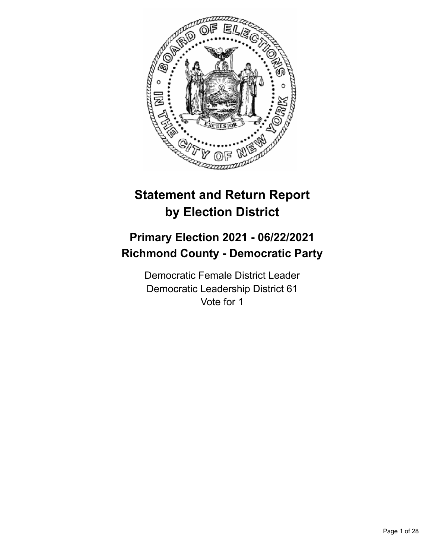

# **Statement and Return Report by Election District**

# **Primary Election 2021 - 06/22/2021 Richmond County - Democratic Party**

Democratic Female District Leader Democratic Leadership District 61 Vote for 1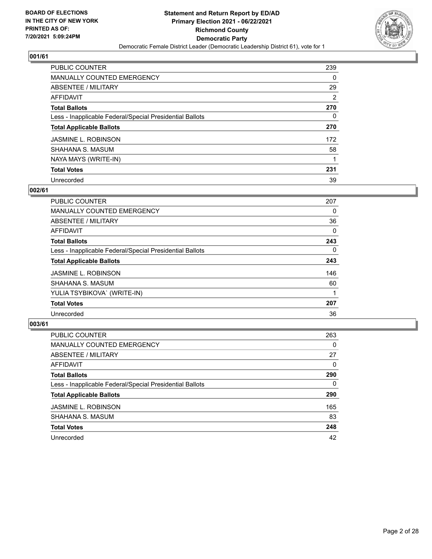

| <b>PUBLIC COUNTER</b>                                    | 239 |
|----------------------------------------------------------|-----|
| <b>MANUALLY COUNTED EMERGENCY</b>                        | 0   |
| ABSENTEE / MILITARY                                      | 29  |
| AFFIDAVIT                                                | 2   |
| <b>Total Ballots</b>                                     | 270 |
| Less - Inapplicable Federal/Special Presidential Ballots | 0   |
| <b>Total Applicable Ballots</b>                          | 270 |
| <b>JASMINE L. ROBINSON</b>                               | 172 |
| SHAHANA S. MASUM                                         | 58  |
| NAYA MAYS (WRITE-IN)                                     |     |
| <b>Total Votes</b>                                       | 231 |
| Unrecorded                                               | 39  |

#### **002/61**

| <b>PUBLIC COUNTER</b>                                    | 207      |
|----------------------------------------------------------|----------|
| <b>MANUALLY COUNTED EMERGENCY</b>                        | 0        |
| ABSENTEE / MILITARY                                      | 36       |
| <b>AFFIDAVIT</b>                                         | $\Omega$ |
| <b>Total Ballots</b>                                     | 243      |
| Less - Inapplicable Federal/Special Presidential Ballots | $\Omega$ |
| <b>Total Applicable Ballots</b>                          | 243      |
| <b>JASMINE L. ROBINSON</b>                               | 146      |
| SHAHANA S. MASUM                                         | 60       |
| YULIA TSYBIKOVA` (WRITE-IN)                              |          |
| <b>Total Votes</b>                                       | 207      |
| Unrecorded                                               | 36       |

| <b>PUBLIC COUNTER</b>                                    | 263      |
|----------------------------------------------------------|----------|
| <b>MANUALLY COUNTED EMERGENCY</b>                        | $\Omega$ |
| ABSENTEE / MILITARY                                      | 27       |
| AFFIDAVIT                                                | $\Omega$ |
| <b>Total Ballots</b>                                     | 290      |
| Less - Inapplicable Federal/Special Presidential Ballots | 0        |
| <b>Total Applicable Ballots</b>                          | 290      |
| <b>JASMINE L. ROBINSON</b>                               | 165      |
| SHAHANA S. MASUM                                         | 83       |
| <b>Total Votes</b>                                       | 248      |
| Unrecorded                                               | 42       |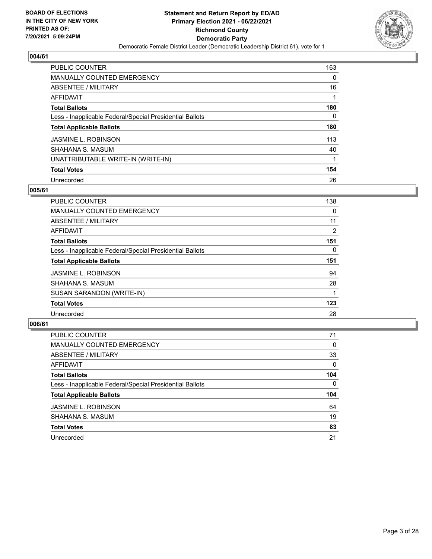

| <b>PUBLIC COUNTER</b>                                    | 163 |
|----------------------------------------------------------|-----|
| <b>MANUALLY COUNTED EMERGENCY</b>                        | 0   |
| ABSENTEE / MILITARY                                      | 16  |
| AFFIDAVIT                                                |     |
| <b>Total Ballots</b>                                     | 180 |
| Less - Inapplicable Federal/Special Presidential Ballots | 0   |
| <b>Total Applicable Ballots</b>                          | 180 |
| <b>JASMINE L. ROBINSON</b>                               | 113 |
| SHAHANA S. MASUM                                         | 40  |
| UNATTRIBUTABLE WRITE-IN (WRITE-IN)                       |     |
| <b>Total Votes</b>                                       | 154 |
| Unrecorded                                               | 26  |

#### **005/61**

| <b>PUBLIC COUNTER</b>                                    | 138            |
|----------------------------------------------------------|----------------|
| MANUALLY COUNTED EMERGENCY                               | 0              |
| ABSENTEE / MILITARY                                      | 11             |
| AFFIDAVIT                                                | $\overline{2}$ |
| <b>Total Ballots</b>                                     | 151            |
| Less - Inapplicable Federal/Special Presidential Ballots | $\Omega$       |
| <b>Total Applicable Ballots</b>                          | 151            |
| <b>JASMINE L. ROBINSON</b>                               | 94             |
| SHAHANA S. MASUM                                         | 28             |
| SUSAN SARANDON (WRITE-IN)                                |                |
| <b>Total Votes</b>                                       | 123            |
| Unrecorded                                               | 28             |

| <b>PUBLIC COUNTER</b>                                    | 71       |
|----------------------------------------------------------|----------|
| <b>MANUALLY COUNTED EMERGENCY</b>                        | $\Omega$ |
| ABSENTEE / MILITARY                                      | 33       |
| AFFIDAVIT                                                | $\Omega$ |
| <b>Total Ballots</b>                                     | 104      |
| Less - Inapplicable Federal/Special Presidential Ballots | 0        |
| <b>Total Applicable Ballots</b>                          | 104      |
| <b>JASMINE L. ROBINSON</b>                               | 64       |
| SHAHANA S. MASUM                                         | 19       |
| <b>Total Votes</b>                                       | 83       |
| Unrecorded                                               | 21       |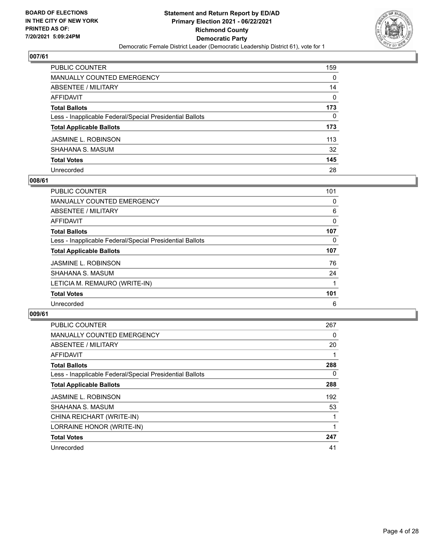

| PUBLIC COUNTER                                           | 159      |
|----------------------------------------------------------|----------|
| <b>MANUALLY COUNTED EMERGENCY</b>                        | 0        |
| <b>ABSENTEE / MILITARY</b>                               | 14       |
| AFFIDAVIT                                                | $\Omega$ |
| <b>Total Ballots</b>                                     | 173      |
| Less - Inapplicable Federal/Special Presidential Ballots | 0        |
| <b>Total Applicable Ballots</b>                          | 173      |
| JASMINE L. ROBINSON                                      | 113      |
| SHAHANA S. MASUM                                         | 32       |
| <b>Total Votes</b>                                       | 145      |
| Unrecorded                                               | 28       |

#### **008/61**

| <b>PUBLIC COUNTER</b>                                    | 101 |
|----------------------------------------------------------|-----|
| MANUALLY COUNTED EMERGENCY                               | 0   |
| ABSENTEE / MILITARY                                      | 6   |
| <b>AFFIDAVIT</b>                                         | 0   |
| <b>Total Ballots</b>                                     | 107 |
| Less - Inapplicable Federal/Special Presidential Ballots | 0   |
| <b>Total Applicable Ballots</b>                          | 107 |
| <b>JASMINE L. ROBINSON</b>                               | 76  |
| SHAHANA S. MASUM                                         | 24  |
| LETICIA M. REMAURO (WRITE-IN)                            |     |
| <b>Total Votes</b>                                       | 101 |
| Unrecorded                                               | 6   |

| PUBLIC COUNTER                                           | 267 |
|----------------------------------------------------------|-----|
| <b>MANUALLY COUNTED EMERGENCY</b>                        | 0   |
| ABSENTEE / MILITARY                                      | 20  |
| <b>AFFIDAVIT</b>                                         |     |
| <b>Total Ballots</b>                                     | 288 |
| Less - Inapplicable Federal/Special Presidential Ballots | 0   |
| <b>Total Applicable Ballots</b>                          | 288 |
| <b>JASMINE L. ROBINSON</b>                               | 192 |
| SHAHANA S. MASUM                                         | 53  |
| CHINA REICHART (WRITE-IN)                                |     |
| LORRAINE HONOR (WRITE-IN)                                | 1   |
| <b>Total Votes</b>                                       | 247 |
| Unrecorded                                               | 41  |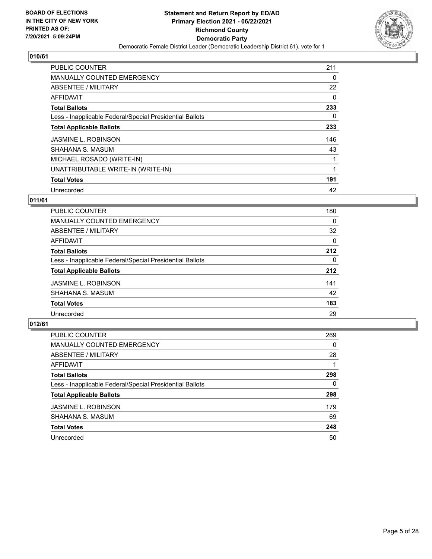

| PUBLIC COUNTER                                           | 211 |
|----------------------------------------------------------|-----|
| <b>MANUALLY COUNTED EMERGENCY</b>                        | 0   |
| ABSENTEE / MILITARY                                      | 22  |
| AFFIDAVIT                                                | 0   |
| <b>Total Ballots</b>                                     | 233 |
| Less - Inapplicable Federal/Special Presidential Ballots | 0   |
| <b>Total Applicable Ballots</b>                          | 233 |
| <b>JASMINE L. ROBINSON</b>                               | 146 |
| SHAHANA S. MASUM                                         | 43  |
| MICHAEL ROSADO (WRITE-IN)                                |     |
| UNATTRIBUTABLE WRITE-IN (WRITE-IN)                       |     |
| <b>Total Votes</b>                                       | 191 |
| Unrecorded                                               | 42  |

## **011/61**

| <b>PUBLIC COUNTER</b>                                    | 180      |
|----------------------------------------------------------|----------|
| <b>MANUALLY COUNTED EMERGENCY</b>                        | $\Omega$ |
| ABSENTEE / MILITARY                                      | 32       |
| AFFIDAVIT                                                | 0        |
| <b>Total Ballots</b>                                     | 212      |
| Less - Inapplicable Federal/Special Presidential Ballots | $\Omega$ |
| <b>Total Applicable Ballots</b>                          | 212      |
| <b>JASMINE L. ROBINSON</b>                               | 141      |
| SHAHANA S. MASUM                                         | 42       |
| <b>Total Votes</b>                                       | 183      |
| Unrecorded                                               | 29       |

| <b>PUBLIC COUNTER</b>                                    | 269 |
|----------------------------------------------------------|-----|
| MANUALLY COUNTED EMERGENCY                               | 0   |
| ABSENTEE / MILITARY                                      | 28  |
| AFFIDAVIT                                                |     |
| <b>Total Ballots</b>                                     | 298 |
| Less - Inapplicable Federal/Special Presidential Ballots | 0   |
| <b>Total Applicable Ballots</b>                          | 298 |
| <b>JASMINE L. ROBINSON</b>                               | 179 |
| SHAHANA S. MASUM                                         | 69  |
| <b>Total Votes</b>                                       | 248 |
| Unrecorded                                               | 50  |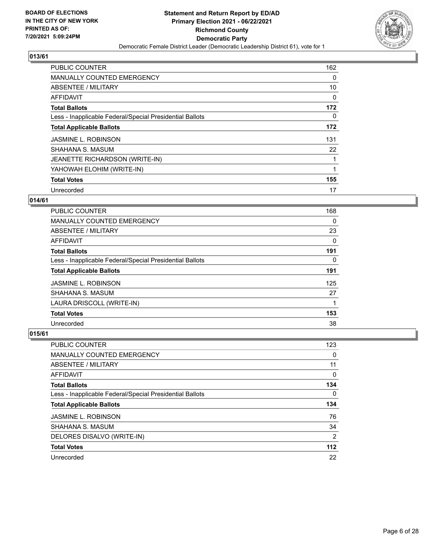

| PUBLIC COUNTER                                           | 162      |
|----------------------------------------------------------|----------|
| <b>MANUALLY COUNTED EMERGENCY</b>                        | 0        |
| ABSENTEE / MILITARY                                      | 10       |
| AFFIDAVIT                                                | 0        |
| <b>Total Ballots</b>                                     | 172      |
| Less - Inapplicable Federal/Special Presidential Ballots | $\Omega$ |
| <b>Total Applicable Ballots</b>                          | 172      |
| <b>JASMINE L. ROBINSON</b>                               | 131      |
| SHAHANA S. MASUM                                         | 22       |
| JEANETTE RICHARDSON (WRITE-IN)                           | 1        |
| YAHOWAH ELOHIM (WRITE-IN)                                |          |
| <b>Total Votes</b>                                       | 155      |
| Unrecorded                                               | 17       |

## **014/61**

| <b>PUBLIC COUNTER</b>                                    | 168 |
|----------------------------------------------------------|-----|
| <b>MANUALLY COUNTED EMERGENCY</b>                        | 0   |
| ABSENTEE / MILITARY                                      | 23  |
| AFFIDAVIT                                                | 0   |
| <b>Total Ballots</b>                                     | 191 |
| Less - Inapplicable Federal/Special Presidential Ballots | 0   |
| <b>Total Applicable Ballots</b>                          | 191 |
| <b>JASMINE L. ROBINSON</b>                               | 125 |
| SHAHANA S. MASUM                                         | 27  |
| LAURA DRISCOLL (WRITE-IN)                                |     |
| <b>Total Votes</b>                                       | 153 |
| Unrecorded                                               | 38  |

| <b>PUBLIC COUNTER</b>                                    | 123      |
|----------------------------------------------------------|----------|
| <b>MANUALLY COUNTED EMERGENCY</b>                        | 0        |
| ABSENTEE / MILITARY                                      | 11       |
| AFFIDAVIT                                                | 0        |
| <b>Total Ballots</b>                                     | 134      |
| Less - Inapplicable Federal/Special Presidential Ballots | $\Omega$ |
| <b>Total Applicable Ballots</b>                          | 134      |
| <b>JASMINE L. ROBINSON</b>                               | 76       |
| SHAHANA S. MASUM                                         | 34       |
| DELORES DISALVO (WRITE-IN)                               | 2        |
| <b>Total Votes</b>                                       | $112$    |
|                                                          |          |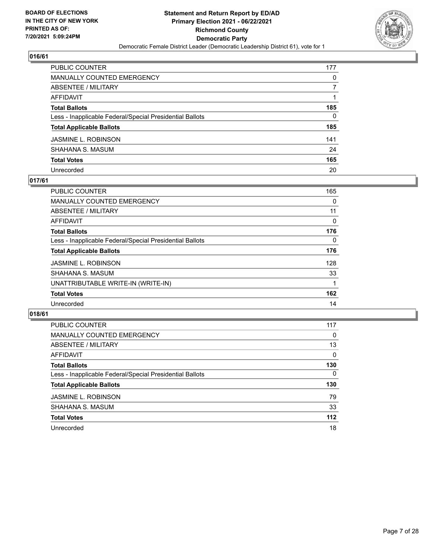

| PUBLIC COUNTER                                           | 177 |
|----------------------------------------------------------|-----|
| <b>MANUALLY COUNTED EMERGENCY</b>                        | 0   |
| <b>ABSENTEE / MILITARY</b>                               |     |
| <b>AFFIDAVIT</b>                                         |     |
| <b>Total Ballots</b>                                     | 185 |
| Less - Inapplicable Federal/Special Presidential Ballots | 0   |
| <b>Total Applicable Ballots</b>                          | 185 |
| <b>JASMINE L. ROBINSON</b>                               | 141 |
| SHAHANA S. MASUM                                         | 24  |
| <b>Total Votes</b>                                       | 165 |
| Unrecorded                                               | 20  |

#### **017/61**

| <b>PUBLIC COUNTER</b>                                    | 165      |
|----------------------------------------------------------|----------|
| <b>MANUALLY COUNTED EMERGENCY</b>                        | 0        |
| ABSENTEE / MILITARY                                      | 11       |
| AFFIDAVIT                                                | 0        |
| <b>Total Ballots</b>                                     | 176      |
| Less - Inapplicable Federal/Special Presidential Ballots | $\Omega$ |
| <b>Total Applicable Ballots</b>                          | 176      |
| <b>JASMINE L. ROBINSON</b>                               | 128      |
| SHAHANA S. MASUM                                         | 33       |
| UNATTRIBUTABLE WRITE-IN (WRITE-IN)                       |          |
| <b>Total Votes</b>                                       | 162      |
| Unrecorded                                               | 14       |

| <b>PUBLIC COUNTER</b>                                    | 117          |
|----------------------------------------------------------|--------------|
| MANUALLY COUNTED EMERGENCY                               | 0            |
| ABSENTEE / MILITARY                                      | 13           |
| AFFIDAVIT                                                | $\Omega$     |
| <b>Total Ballots</b>                                     | 130          |
| Less - Inapplicable Federal/Special Presidential Ballots | $\mathbf{0}$ |
| <b>Total Applicable Ballots</b>                          | 130          |
| <b>JASMINE L. ROBINSON</b>                               | 79           |
| SHAHANA S. MASUM                                         | 33           |
| <b>Total Votes</b>                                       | 112          |
| Unrecorded                                               | 18           |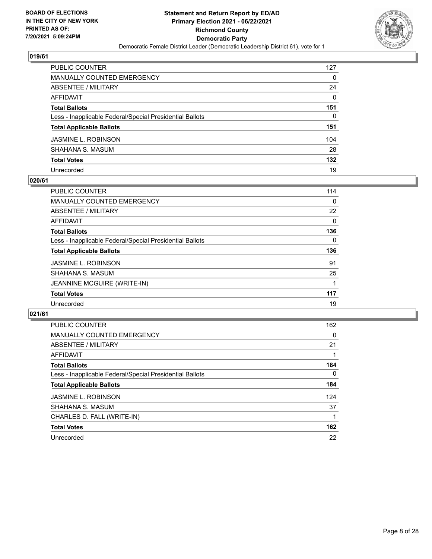

| PUBLIC COUNTER                                           | 127      |
|----------------------------------------------------------|----------|
| <b>MANUALLY COUNTED EMERGENCY</b>                        | 0        |
| <b>ABSENTEE / MILITARY</b>                               | 24       |
| <b>AFFIDAVIT</b>                                         | $\Omega$ |
| <b>Total Ballots</b>                                     | 151      |
| Less - Inapplicable Federal/Special Presidential Ballots | 0        |
| <b>Total Applicable Ballots</b>                          | 151      |
| <b>JASMINE L. ROBINSON</b>                               | 104      |
| SHAHANA S. MASUM                                         | 28       |
| <b>Total Votes</b>                                       | 132      |
| Unrecorded                                               | 19       |

#### **020/61**

| <b>PUBLIC COUNTER</b>                                    | 114      |
|----------------------------------------------------------|----------|
| MANUALLY COUNTED EMERGENCY                               | $\Omega$ |
| ABSENTEE / MILITARY                                      | 22       |
| <b>AFFIDAVIT</b>                                         | $\Omega$ |
| <b>Total Ballots</b>                                     | 136      |
| Less - Inapplicable Federal/Special Presidential Ballots | 0        |
| <b>Total Applicable Ballots</b>                          | 136      |
| <b>JASMINE L. ROBINSON</b>                               | 91       |
| SHAHANA S. MASUM                                         | 25       |
| JEANNINE MCGUIRE (WRITE-IN)                              |          |
| <b>Total Votes</b>                                       | 117      |
| Unrecorded                                               | 19       |

| <b>PUBLIC COUNTER</b>                                    | 162      |
|----------------------------------------------------------|----------|
| <b>MANUALLY COUNTED EMERGENCY</b>                        | 0        |
| ABSENTEE / MILITARY                                      | 21       |
| AFFIDAVIT                                                |          |
| <b>Total Ballots</b>                                     | 184      |
| Less - Inapplicable Federal/Special Presidential Ballots | $\Omega$ |
| <b>Total Applicable Ballots</b>                          | 184      |
| <b>JASMINE L. ROBINSON</b>                               | 124      |
| SHAHANA S. MASUM                                         | 37       |
| CHARLES D. FALL (WRITE-IN)                               |          |
| <b>Total Votes</b>                                       | 162      |
| Unrecorded                                               | 22       |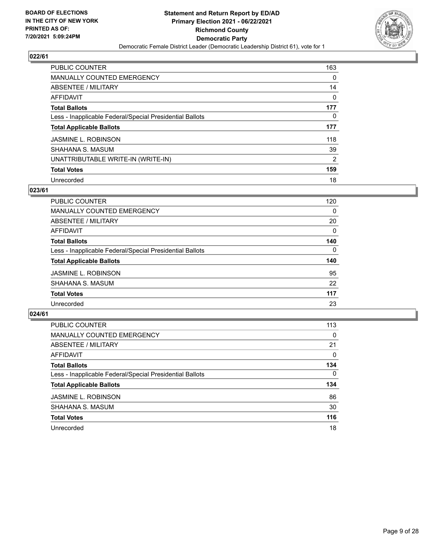

| <b>PUBLIC COUNTER</b>                                    | 163      |
|----------------------------------------------------------|----------|
| <b>MANUALLY COUNTED EMERGENCY</b>                        | $\Omega$ |
| ABSENTEE / MILITARY                                      | 14       |
| AFFIDAVIT                                                | $\Omega$ |
| <b>Total Ballots</b>                                     | 177      |
| Less - Inapplicable Federal/Special Presidential Ballots | 0        |
| <b>Total Applicable Ballots</b>                          | 177      |
| <b>JASMINE L. ROBINSON</b>                               | 118      |
| SHAHANA S. MASUM                                         | 39       |
| UNATTRIBUTABLE WRITE-IN (WRITE-IN)                       | 2        |
| <b>Total Votes</b>                                       | 159      |
| Unrecorded                                               | 18       |

#### **023/61**

| <b>PUBLIC COUNTER</b>                                    | 120      |
|----------------------------------------------------------|----------|
| <b>MANUALLY COUNTED EMERGENCY</b>                        | 0        |
| ABSENTEE / MILITARY                                      | 20       |
| AFFIDAVIT                                                | 0        |
| <b>Total Ballots</b>                                     | 140      |
| Less - Inapplicable Federal/Special Presidential Ballots | $\Omega$ |
| <b>Total Applicable Ballots</b>                          | 140      |
| <b>JASMINE L. ROBINSON</b>                               | 95       |
| SHAHANA S. MASUM                                         | 22       |
| <b>Total Votes</b>                                       | 117      |
| Unrecorded                                               | 23       |

| <b>PUBLIC COUNTER</b>                                    | 113      |
|----------------------------------------------------------|----------|
| MANUALLY COUNTED EMERGENCY                               | $\Omega$ |
| ABSENTEE / MILITARY                                      | 21       |
| AFFIDAVIT                                                | $\Omega$ |
| <b>Total Ballots</b>                                     | 134      |
| Less - Inapplicable Federal/Special Presidential Ballots | $\Omega$ |
| <b>Total Applicable Ballots</b>                          | 134      |
| <b>JASMINE L. ROBINSON</b>                               | 86       |
| SHAHANA S. MASUM                                         | 30       |
| <b>Total Votes</b>                                       | 116      |
| Unrecorded                                               | 18       |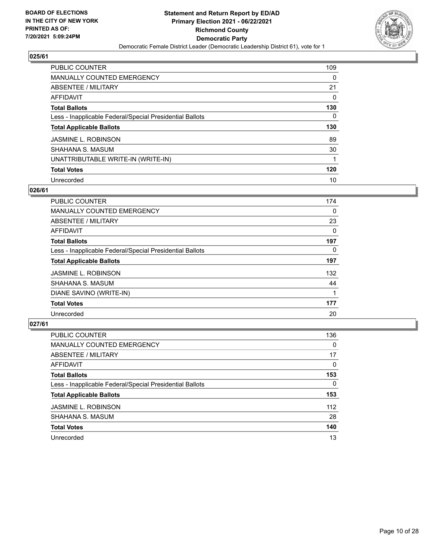

| PUBLIC COUNTER                                           | 109      |
|----------------------------------------------------------|----------|
| MANUALLY COUNTED EMERGENCY                               | $\Omega$ |
| ABSENTEE / MILITARY                                      | 21       |
| AFFIDAVIT                                                | 0        |
| <b>Total Ballots</b>                                     | 130      |
| Less - Inapplicable Federal/Special Presidential Ballots | 0        |
| <b>Total Applicable Ballots</b>                          | 130      |
| <b>JASMINE L. ROBINSON</b>                               | 89       |
| SHAHANA S. MASUM                                         | 30       |
| UNATTRIBUTABLE WRITE-IN (WRITE-IN)                       | 1        |
| <b>Total Votes</b>                                       | 120      |
| Unrecorded                                               | 10       |

#### **026/61**

| PUBLIC COUNTER                                           | 174      |
|----------------------------------------------------------|----------|
| <b>MANUALLY COUNTED EMERGENCY</b>                        | 0        |
| ABSENTEE / MILITARY                                      | 23       |
| <b>AFFIDAVIT</b>                                         | $\Omega$ |
| <b>Total Ballots</b>                                     | 197      |
| Less - Inapplicable Federal/Special Presidential Ballots | $\Omega$ |
| <b>Total Applicable Ballots</b>                          | 197      |
| <b>JASMINE L. ROBINSON</b>                               | 132      |
| SHAHANA S. MASUM                                         | 44       |
| DIANE SAVINO (WRITE-IN)                                  | 1        |
| <b>Total Votes</b>                                       | 177      |
| Unrecorded                                               | 20       |

| <b>PUBLIC COUNTER</b>                                    | 136      |
|----------------------------------------------------------|----------|
| MANUALLY COUNTED EMERGENCY                               | $\Omega$ |
| ABSENTEE / MILITARY                                      | 17       |
| AFFIDAVIT                                                | $\Omega$ |
| <b>Total Ballots</b>                                     | 153      |
| Less - Inapplicable Federal/Special Presidential Ballots | 0        |
| <b>Total Applicable Ballots</b>                          | 153      |
| <b>JASMINE L. ROBINSON</b>                               | 112      |
| SHAHANA S. MASUM                                         | 28       |
| <b>Total Votes</b>                                       | 140      |
| Unrecorded                                               | 13       |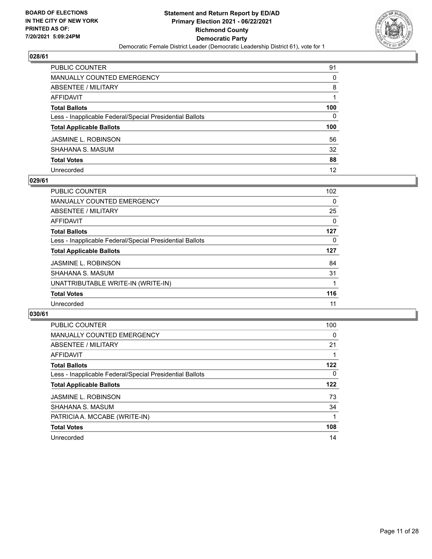

| PUBLIC COUNTER                                           | 91       |
|----------------------------------------------------------|----------|
| MANUALLY COUNTED EMERGENCY                               | $\Omega$ |
| <b>ABSENTEE / MILITARY</b>                               | 8        |
| <b>AFFIDAVIT</b>                                         |          |
| <b>Total Ballots</b>                                     | 100      |
| Less - Inapplicable Federal/Special Presidential Ballots | 0        |
| <b>Total Applicable Ballots</b>                          | 100      |
| JASMINE L. ROBINSON                                      | 56       |
| SHAHANA S. MASUM                                         | 32       |
| <b>Total Votes</b>                                       | 88       |
| Unrecorded                                               | 12       |

#### **029/61**

| <b>PUBLIC COUNTER</b>                                    | 102 |
|----------------------------------------------------------|-----|
| MANUALLY COUNTED EMERGENCY                               | 0   |
| ABSENTEE / MILITARY                                      | 25  |
| AFFIDAVIT                                                | 0   |
| <b>Total Ballots</b>                                     | 127 |
| Less - Inapplicable Federal/Special Presidential Ballots | 0   |
| <b>Total Applicable Ballots</b>                          | 127 |
| <b>JASMINE L. ROBINSON</b>                               | 84  |
| SHAHANA S. MASUM                                         | 31  |
| UNATTRIBUTABLE WRITE-IN (WRITE-IN)                       |     |
| <b>Total Votes</b>                                       | 116 |
| Unrecorded                                               | 11  |

| <b>PUBLIC COUNTER</b>                                    | 100 |
|----------------------------------------------------------|-----|
| <b>MANUALLY COUNTED EMERGENCY</b>                        | 0   |
| ABSENTEE / MILITARY                                      | 21  |
| <b>AFFIDAVIT</b>                                         |     |
| <b>Total Ballots</b>                                     | 122 |
| Less - Inapplicable Federal/Special Presidential Ballots | 0   |
| <b>Total Applicable Ballots</b>                          | 122 |
| <b>JASMINE L. ROBINSON</b>                               | 73  |
| SHAHANA S. MASUM                                         | 34  |
| PATRICIA A. MCCABE (WRITE-IN)                            |     |
| <b>Total Votes</b>                                       | 108 |
| Unrecorded                                               | 14  |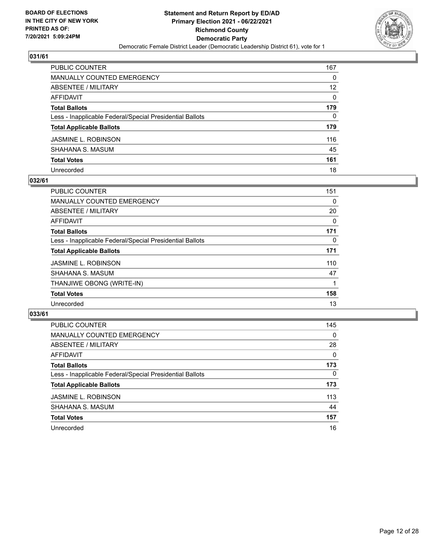

| PUBLIC COUNTER                                           | 167      |
|----------------------------------------------------------|----------|
| <b>MANUALLY COUNTED EMERGENCY</b>                        | $\Omega$ |
| <b>ABSENTEE / MILITARY</b>                               | 12       |
| <b>AFFIDAVIT</b>                                         | $\Omega$ |
| <b>Total Ballots</b>                                     | 179      |
| Less - Inapplicable Federal/Special Presidential Ballots | 0        |
| <b>Total Applicable Ballots</b>                          | 179      |
| JASMINE L. ROBINSON                                      | 116      |
| SHAHANA S. MASUM                                         | 45       |
| <b>Total Votes</b>                                       | 161      |
| Unrecorded                                               | 18       |

#### **032/61**

| <b>PUBLIC COUNTER</b>                                    | 151      |
|----------------------------------------------------------|----------|
| MANUALLY COUNTED EMERGENCY                               | 0        |
| ABSENTEE / MILITARY                                      | 20       |
| AFFIDAVIT                                                | $\Omega$ |
| <b>Total Ballots</b>                                     | 171      |
| Less - Inapplicable Federal/Special Presidential Ballots | 0        |
| <b>Total Applicable Ballots</b>                          | 171      |
| <b>JASMINE L. ROBINSON</b>                               | 110      |
| SHAHANA S. MASUM                                         | 47       |
| THANJIWE OBONG (WRITE-IN)                                |          |
| <b>Total Votes</b>                                       | 158      |
| Unrecorded                                               | 13       |

| <b>PUBLIC COUNTER</b>                                    | 145      |
|----------------------------------------------------------|----------|
| MANUALLY COUNTED EMERGENCY                               | 0        |
| ABSENTEE / MILITARY                                      | 28       |
| AFFIDAVIT                                                | $\Omega$ |
| <b>Total Ballots</b>                                     | 173      |
| Less - Inapplicable Federal/Special Presidential Ballots | 0        |
| <b>Total Applicable Ballots</b>                          | 173      |
| <b>JASMINE L. ROBINSON</b>                               | 113      |
| SHAHANA S. MASUM                                         | 44       |
| <b>Total Votes</b>                                       | 157      |
| Unrecorded                                               | 16       |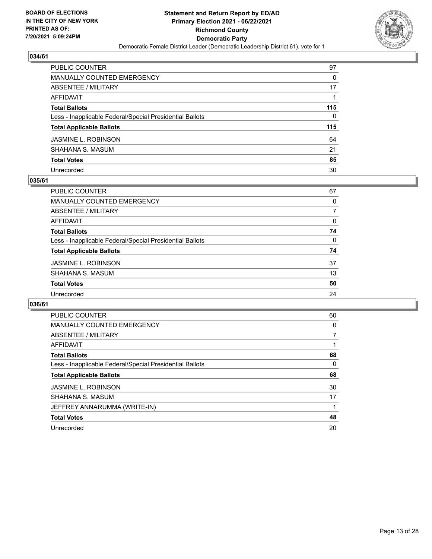

| PUBLIC COUNTER                                           | 97  |
|----------------------------------------------------------|-----|
| <b>MANUALLY COUNTED EMERGENCY</b>                        | 0   |
| ABSENTEE / MILITARY                                      | 17  |
| <b>AFFIDAVIT</b>                                         |     |
| <b>Total Ballots</b>                                     | 115 |
| Less - Inapplicable Federal/Special Presidential Ballots | 0   |
| <b>Total Applicable Ballots</b>                          | 115 |
| JASMINE L. ROBINSON                                      | 64  |
| SHAHANA S. MASUM                                         | 21  |
| <b>Total Votes</b>                                       | 85  |
| Unrecorded                                               | 30  |

#### **035/61**

| PUBLIC COUNTER                                           | 67       |
|----------------------------------------------------------|----------|
| <b>MANUALLY COUNTED EMERGENCY</b>                        | 0        |
| ABSENTEE / MILITARY                                      |          |
| AFFIDAVIT                                                | $\Omega$ |
| <b>Total Ballots</b>                                     | 74       |
| Less - Inapplicable Federal/Special Presidential Ballots | 0        |
| <b>Total Applicable Ballots</b>                          | 74       |
| <b>JASMINE L. ROBINSON</b>                               | 37       |
| SHAHANA S. MASUM                                         | 13       |
| <b>Total Votes</b>                                       | 50       |
| Unrecorded                                               | 24       |

| <b>PUBLIC COUNTER</b>                                    | 60 |
|----------------------------------------------------------|----|
| <b>MANUALLY COUNTED EMERGENCY</b>                        | 0  |
| ABSENTEE / MILITARY                                      | 7  |
| AFFIDAVIT                                                |    |
| <b>Total Ballots</b>                                     | 68 |
| Less - Inapplicable Federal/Special Presidential Ballots | 0  |
| <b>Total Applicable Ballots</b>                          | 68 |
| <b>JASMINE L. ROBINSON</b>                               | 30 |
| SHAHANA S. MASUM                                         | 17 |
| JEFFREY ANNARUMMA (WRITE-IN)                             |    |
| <b>Total Votes</b>                                       | 48 |
| Unrecorded                                               | 20 |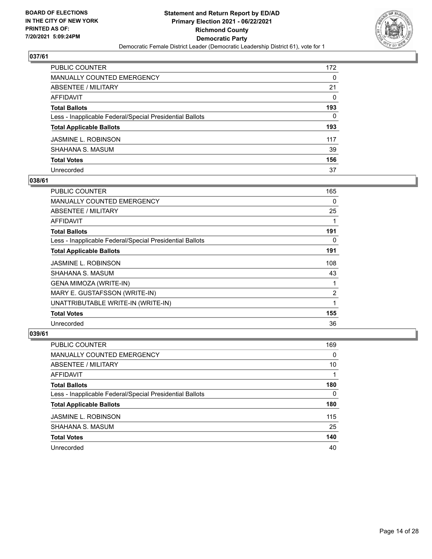

| PUBLIC COUNTER                                           | 172      |
|----------------------------------------------------------|----------|
| <b>MANUALLY COUNTED EMERGENCY</b>                        | 0        |
| <b>ABSENTEE / MILITARY</b>                               | 21       |
| AFFIDAVIT                                                | $\Omega$ |
| <b>Total Ballots</b>                                     | 193      |
| Less - Inapplicable Federal/Special Presidential Ballots | 0        |
| <b>Total Applicable Ballots</b>                          | 193      |
| JASMINE L. ROBINSON                                      | 117      |
| SHAHANA S. MASUM                                         | 39       |
| <b>Total Votes</b>                                       | 156      |
| Unrecorded                                               | 37       |

#### **038/61**

| PUBLIC COUNTER                                           | 165 |
|----------------------------------------------------------|-----|
| <b>MANUALLY COUNTED EMERGENCY</b>                        | 0   |
| ABSENTEE / MILITARY                                      | 25  |
| AFFIDAVIT                                                |     |
| <b>Total Ballots</b>                                     | 191 |
| Less - Inapplicable Federal/Special Presidential Ballots | 0   |
| <b>Total Applicable Ballots</b>                          | 191 |
| <b>JASMINE L. ROBINSON</b>                               | 108 |
| SHAHANA S. MASUM                                         | 43  |
| GENA MIMOZA (WRITE-IN)                                   |     |
| MARY E. GUSTAFSSON (WRITE-IN)                            | 2   |
| UNATTRIBUTABLE WRITE-IN (WRITE-IN)                       | 1   |
| <b>Total Votes</b>                                       | 155 |
| Unrecorded                                               | 36  |

| PUBLIC COUNTER                                           | 169      |
|----------------------------------------------------------|----------|
| MANUALLY COUNTED EMERGENCY                               | $\Omega$ |
| ABSENTEE / MILITARY                                      | 10       |
| AFFIDAVIT                                                |          |
| <b>Total Ballots</b>                                     | 180      |
| Less - Inapplicable Federal/Special Presidential Ballots | 0        |
| <b>Total Applicable Ballots</b>                          | 180      |
| <b>JASMINE L. ROBINSON</b>                               | 115      |
| SHAHANA S. MASUM                                         | 25       |
| <b>Total Votes</b>                                       | 140      |
| Unrecorded                                               | 40       |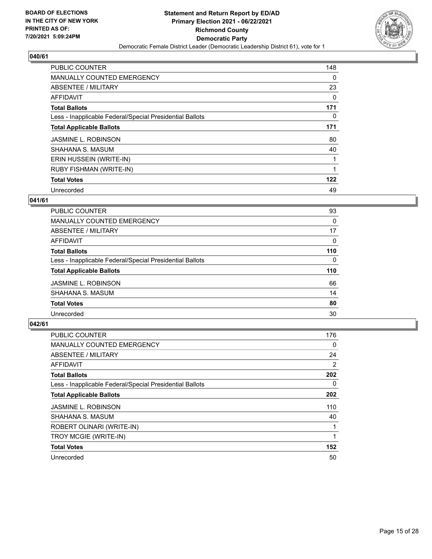

| <b>PUBLIC COUNTER</b>                                    | 148      |
|----------------------------------------------------------|----------|
| <b>MANUALLY COUNTED EMERGENCY</b>                        | 0        |
| ABSENTEE / MILITARY                                      | 23       |
| AFFIDAVIT                                                | 0        |
| <b>Total Ballots</b>                                     | 171      |
| Less - Inapplicable Federal/Special Presidential Ballots | $\Omega$ |
| <b>Total Applicable Ballots</b>                          | 171      |
| <b>JASMINE L. ROBINSON</b>                               | 80       |
| SHAHANA S. MASUM                                         | 40       |
| ERIN HUSSEIN (WRITE-IN)                                  |          |
| RUBY FISHMAN (WRITE-IN)                                  |          |
| <b>Total Votes</b>                                       | 122      |
| Unrecorded                                               | 49       |

## **041/61**

| PUBLIC COUNTER                                           | 93       |
|----------------------------------------------------------|----------|
| MANUALLY COUNTED EMERGENCY                               | $\Omega$ |
| ABSENTEE / MILITARY                                      | 17       |
| <b>AFFIDAVIT</b>                                         | $\Omega$ |
| <b>Total Ballots</b>                                     | 110      |
| Less - Inapplicable Federal/Special Presidential Ballots | $\Omega$ |
| <b>Total Applicable Ballots</b>                          | 110      |
| <b>JASMINE L. ROBINSON</b>                               | 66       |
| SHAHANA S. MASUM                                         | 14       |
| <b>Total Votes</b>                                       | 80       |
| Unrecorded                                               | 30       |

| <b>PUBLIC COUNTER</b>                                    | 176            |
|----------------------------------------------------------|----------------|
| <b>MANUALLY COUNTED EMERGENCY</b>                        | 0              |
| ABSENTEE / MILITARY                                      | 24             |
| AFFIDAVIT                                                | $\overline{2}$ |
| <b>Total Ballots</b>                                     | 202            |
| Less - Inapplicable Federal/Special Presidential Ballots | 0              |
| <b>Total Applicable Ballots</b>                          | 202            |
| <b>JASMINE L. ROBINSON</b>                               | 110            |
| SHAHANA S. MASUM                                         | 40             |
| ROBERT OLINARI (WRITE-IN)                                |                |
| TROY MCGIE (WRITE-IN)                                    |                |
| <b>Total Votes</b>                                       | 152            |
| Unrecorded                                               | 50             |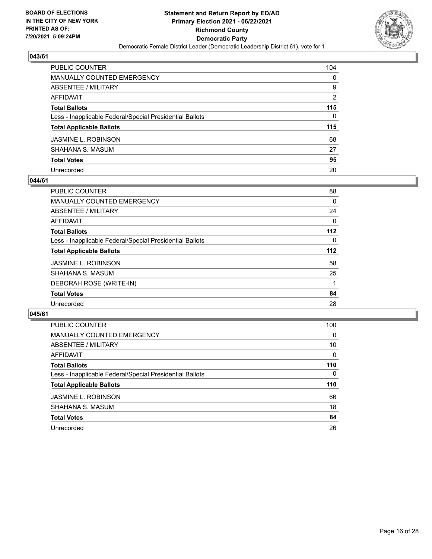

| PUBLIC COUNTER                                           | 104           |
|----------------------------------------------------------|---------------|
| MANUALLY COUNTED EMERGENCY                               | 0             |
| ABSENTEE / MILITARY                                      | 9             |
| AFFIDAVIT                                                | $\mathcal{P}$ |
| Total Ballots                                            | 115           |
| Less - Inapplicable Federal/Special Presidential Ballots | 0             |
| <b>Total Applicable Ballots</b>                          | 115           |
| JASMINE L. ROBINSON                                      | 68            |
| SHAHANA S. MASUM                                         | 27            |
| <b>Total Votes</b>                                       | 95            |
| Unrecorded                                               | 20            |

#### **044/61**

| PUBLIC COUNTER                                           | 88       |
|----------------------------------------------------------|----------|
| <b>MANUALLY COUNTED EMERGENCY</b>                        | 0        |
| ABSENTEE / MILITARY                                      | 24       |
| AFFIDAVIT                                                | 0        |
| <b>Total Ballots</b>                                     | 112      |
| Less - Inapplicable Federal/Special Presidential Ballots | $\Omega$ |
| <b>Total Applicable Ballots</b>                          | 112      |
| <b>JASMINE L. ROBINSON</b>                               | 58       |
| SHAHANA S. MASUM                                         | 25       |
| DEBORAH ROSE (WRITE-IN)                                  |          |
| <b>Total Votes</b>                                       | 84       |
| Unrecorded                                               | 28       |
|                                                          |          |

| <b>PUBLIC COUNTER</b>                                    | 100      |
|----------------------------------------------------------|----------|
| MANUALLY COUNTED EMERGENCY                               | $\Omega$ |
| ABSENTEE / MILITARY                                      | 10       |
| AFFIDAVIT                                                | $\Omega$ |
| <b>Total Ballots</b>                                     | 110      |
| Less - Inapplicable Federal/Special Presidential Ballots | $\Omega$ |
| <b>Total Applicable Ballots</b>                          | 110      |
| <b>JASMINE L. ROBINSON</b>                               | 66       |
| SHAHANA S. MASUM                                         | 18       |
| <b>Total Votes</b>                                       | 84       |
| Unrecorded                                               | 26       |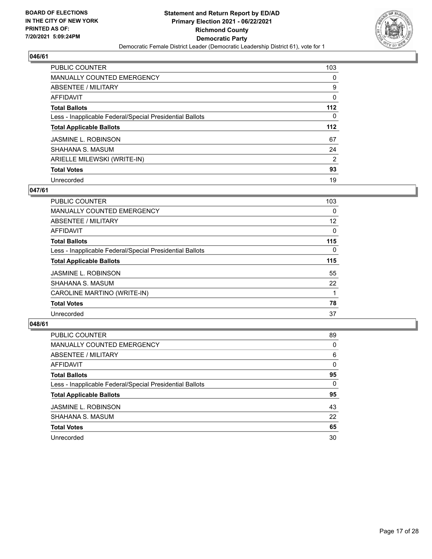

| <b>PUBLIC COUNTER</b>                                    | 103      |
|----------------------------------------------------------|----------|
| MANUALLY COUNTED EMERGENCY                               | $\Omega$ |
| ABSENTEE / MILITARY                                      | 9        |
| AFFIDAVIT                                                | 0        |
| <b>Total Ballots</b>                                     | $112$    |
| Less - Inapplicable Federal/Special Presidential Ballots | $\Omega$ |
| <b>Total Applicable Ballots</b>                          | 112      |
| <b>JASMINE L. ROBINSON</b>                               | 67       |
| SHAHANA S. MASUM                                         | 24       |
| ARIELLE MILEWSKI (WRITE-IN)                              | 2        |
| <b>Total Votes</b>                                       | 93       |
| Unrecorded                                               | 19       |

#### **047/61**

| <b>PUBLIC COUNTER</b>                                    | 103      |
|----------------------------------------------------------|----------|
| MANUALLY COUNTED EMERGENCY                               | $\Omega$ |
| ABSENTEE / MILITARY                                      | 12       |
| <b>AFFIDAVIT</b>                                         | $\Omega$ |
| <b>Total Ballots</b>                                     | 115      |
| Less - Inapplicable Federal/Special Presidential Ballots | $\Omega$ |
| <b>Total Applicable Ballots</b>                          | 115      |
| <b>JASMINE L. ROBINSON</b>                               | 55       |
| SHAHANA S. MASUM                                         | 22       |
| CAROLINE MARTINO (WRITE-IN)                              |          |
| <b>Total Votes</b>                                       | 78       |
| Unrecorded                                               | 37       |

| PUBLIC COUNTER                                           | 89       |
|----------------------------------------------------------|----------|
| <b>MANUALLY COUNTED EMERGENCY</b>                        | $\Omega$ |
| ABSENTEE / MILITARY                                      | 6        |
| AFFIDAVIT                                                | $\Omega$ |
| <b>Total Ballots</b>                                     | 95       |
| Less - Inapplicable Federal/Special Presidential Ballots | 0        |
| <b>Total Applicable Ballots</b>                          | 95       |
| <b>JASMINE L. ROBINSON</b>                               | 43       |
| SHAHANA S. MASUM                                         | 22       |
| <b>Total Votes</b>                                       | 65       |
| Unrecorded                                               | 30       |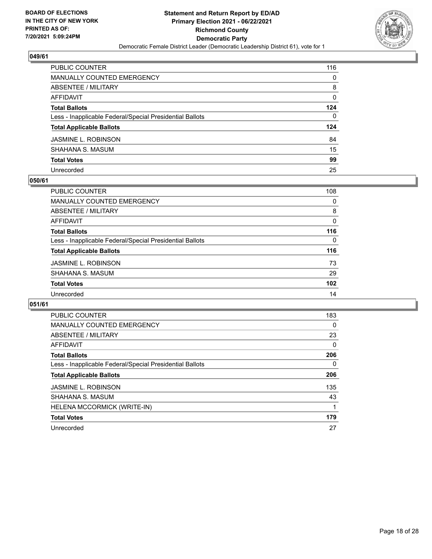

| PUBLIC COUNTER                                           | 116 |
|----------------------------------------------------------|-----|
| <b>MANUALLY COUNTED EMERGENCY</b>                        | 0   |
| ABSENTEE / MILITARY                                      | 8   |
| AFFIDAVIT                                                | 0   |
| <b>Total Ballots</b>                                     | 124 |
| Less - Inapplicable Federal/Special Presidential Ballots | 0   |
| <b>Total Applicable Ballots</b>                          | 124 |
| JASMINE L. ROBINSON                                      | 84  |
| SHAHANA S. MASUM                                         | 15  |
| <b>Total Votes</b>                                       | 99  |
| Unrecorded                                               | 25  |

#### **050/61**

| <b>PUBLIC COUNTER</b>                                    | 108      |
|----------------------------------------------------------|----------|
| <b>MANUALLY COUNTED EMERGENCY</b>                        | 0        |
| ABSENTEE / MILITARY                                      | 8        |
| AFFIDAVIT                                                | 0        |
| <b>Total Ballots</b>                                     | 116      |
| Less - Inapplicable Federal/Special Presidential Ballots | $\Omega$ |
| <b>Total Applicable Ballots</b>                          | 116      |
| <b>JASMINE L. ROBINSON</b>                               | 73       |
| SHAHANA S. MASUM                                         | 29       |
| <b>Total Votes</b>                                       | 102      |
| Unrecorded                                               | 14       |

| <b>PUBLIC COUNTER</b>                                    | 183      |
|----------------------------------------------------------|----------|
| <b>MANUALLY COUNTED EMERGENCY</b>                        | 0        |
| ABSENTEE / MILITARY                                      | 23       |
| AFFIDAVIT                                                | $\Omega$ |
| <b>Total Ballots</b>                                     | 206      |
| Less - Inapplicable Federal/Special Presidential Ballots | 0        |
| <b>Total Applicable Ballots</b>                          | 206      |
| <b>JASMINE L. ROBINSON</b>                               | 135      |
| SHAHANA S. MASUM                                         | 43       |
| HELENA MCCORMICK (WRITE-IN)                              |          |
| <b>Total Votes</b>                                       | 179      |
| Unrecorded                                               | 27       |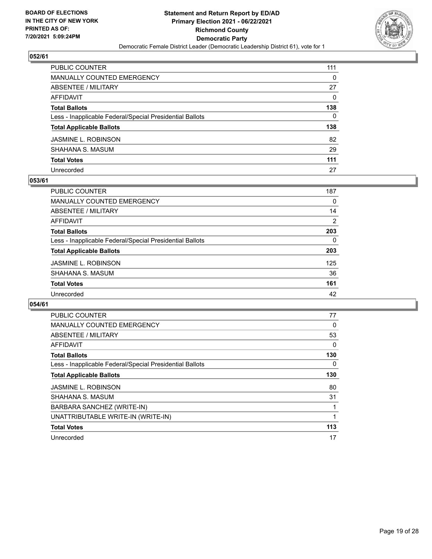

| PUBLIC COUNTER                                           | 111      |
|----------------------------------------------------------|----------|
| <b>MANUALLY COUNTED EMERGENCY</b>                        | $\Omega$ |
| <b>ABSENTEE / MILITARY</b>                               | 27       |
| AFFIDAVIT                                                | $\Omega$ |
| <b>Total Ballots</b>                                     | 138      |
| Less - Inapplicable Federal/Special Presidential Ballots | 0        |
| <b>Total Applicable Ballots</b>                          | 138      |
| JASMINE L. ROBINSON                                      | 82       |
| SHAHANA S. MASUM                                         | 29       |
| <b>Total Votes</b>                                       | 111      |
| Unrecorded                                               | 27       |

#### **053/61**

| <b>PUBLIC COUNTER</b>                                    | 187 |
|----------------------------------------------------------|-----|
| MANUALLY COUNTED EMERGENCY                               | 0   |
| <b>ABSENTEE / MILITARY</b>                               | 14  |
| AFFIDAVIT                                                | 2   |
| <b>Total Ballots</b>                                     | 203 |
| Less - Inapplicable Federal/Special Presidential Ballots | 0   |
| <b>Total Applicable Ballots</b>                          | 203 |
| <b>JASMINE L. ROBINSON</b>                               | 125 |
| SHAHANA S. MASUM                                         | 36  |
| <b>Total Votes</b>                                       | 161 |
| Unrecorded                                               | 42  |

| <b>PUBLIC COUNTER</b>                                    | 77  |
|----------------------------------------------------------|-----|
| <b>MANUALLY COUNTED EMERGENCY</b>                        | 0   |
| ABSENTEE / MILITARY                                      | 53  |
| <b>AFFIDAVIT</b>                                         | 0   |
| <b>Total Ballots</b>                                     | 130 |
| Less - Inapplicable Federal/Special Presidential Ballots | 0   |
| <b>Total Applicable Ballots</b>                          | 130 |
| <b>JASMINE L. ROBINSON</b>                               | 80  |
| SHAHANA S. MASUM                                         | 31  |
| BARBARA SANCHEZ (WRITE-IN)                               |     |
| UNATTRIBUTABLE WRITE-IN (WRITE-IN)                       |     |
| <b>Total Votes</b>                                       | 113 |
| Unrecorded                                               | 17  |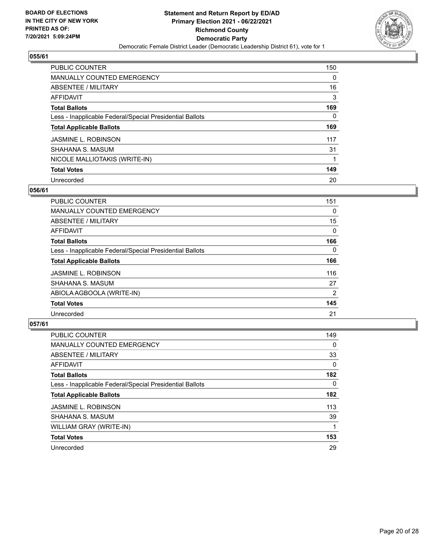

| <b>PUBLIC COUNTER</b>                                    | 150 |
|----------------------------------------------------------|-----|
| <b>MANUALLY COUNTED EMERGENCY</b>                        | 0   |
| ABSENTEE / MILITARY                                      | 16  |
| AFFIDAVIT                                                | 3   |
| <b>Total Ballots</b>                                     | 169 |
| Less - Inapplicable Federal/Special Presidential Ballots | 0   |
| <b>Total Applicable Ballots</b>                          | 169 |
| <b>JASMINE L. ROBINSON</b>                               | 117 |
| SHAHANA S. MASUM                                         | 31  |
| NICOLE MALLIOTAKIS (WRITE-IN)                            |     |
| <b>Total Votes</b>                                       | 149 |
| Unrecorded                                               | 20  |

#### **056/61**

| <b>PUBLIC COUNTER</b>                                    | 151            |
|----------------------------------------------------------|----------------|
| MANUALLY COUNTED EMERGENCY                               | 0              |
| ABSENTEE / MILITARY                                      | 15             |
| AFFIDAVIT                                                | $\Omega$       |
| <b>Total Ballots</b>                                     | 166            |
| Less - Inapplicable Federal/Special Presidential Ballots | $\Omega$       |
| <b>Total Applicable Ballots</b>                          | 166            |
| <b>JASMINE L. ROBINSON</b>                               | 116            |
| SHAHANA S. MASUM                                         | 27             |
| ABIOLA AGBOOLA (WRITE-IN)                                | $\overline{2}$ |
| <b>Total Votes</b>                                       | 145            |
| Unrecorded                                               | 21             |

| <b>PUBLIC COUNTER</b>                                    | 149      |
|----------------------------------------------------------|----------|
| <b>MANUALLY COUNTED EMERGENCY</b>                        | $\Omega$ |
| ABSENTEE / MILITARY                                      | 33       |
| <b>AFFIDAVIT</b>                                         | $\Omega$ |
| <b>Total Ballots</b>                                     | 182      |
| Less - Inapplicable Federal/Special Presidential Ballots | $\Omega$ |
| <b>Total Applicable Ballots</b>                          | 182      |
| <b>JASMINE L. ROBINSON</b>                               | 113      |
| SHAHANA S. MASUM                                         | 39       |
| WILLIAM GRAY (WRITE-IN)                                  |          |
| <b>Total Votes</b>                                       | 153      |
| Unrecorded                                               | 29       |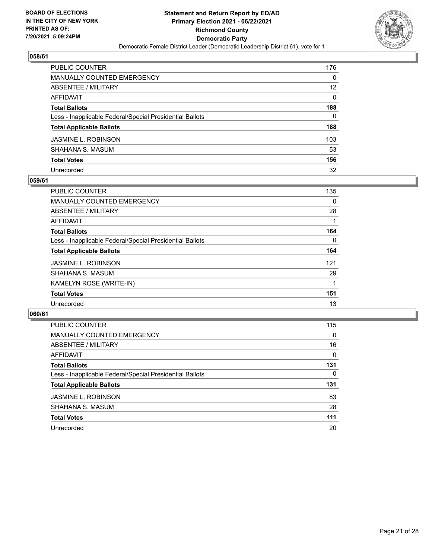

| PUBLIC COUNTER                                           | 176               |
|----------------------------------------------------------|-------------------|
| <b>MANUALLY COUNTED EMERGENCY</b>                        | 0                 |
| ABSENTEE / MILITARY                                      | $12 \overline{ }$ |
| <b>AFFIDAVIT</b>                                         | 0                 |
| <b>Total Ballots</b>                                     | 188               |
| Less - Inapplicable Federal/Special Presidential Ballots | 0                 |
| <b>Total Applicable Ballots</b>                          | 188               |
| JASMINE L. ROBINSON                                      | 103               |
| SHAHANA S. MASUM                                         | 53                |
| <b>Total Votes</b>                                       | 156               |
| Unrecorded                                               | 32                |

#### **059/61**

| <b>PUBLIC COUNTER</b>                                    | 135      |
|----------------------------------------------------------|----------|
| MANUALLY COUNTED EMERGENCY                               | 0        |
| ABSENTEE / MILITARY                                      | 28       |
| AFFIDAVIT                                                |          |
| <b>Total Ballots</b>                                     | 164      |
| Less - Inapplicable Federal/Special Presidential Ballots | $\Omega$ |
| <b>Total Applicable Ballots</b>                          | 164      |
| <b>JASMINE L. ROBINSON</b>                               | 121      |
| SHAHANA S. MASUM                                         | 29       |
| KAMELYN ROSE (WRITE-IN)                                  |          |
| <b>Total Votes</b>                                       | 151      |
| Unrecorded                                               | 13       |

| <b>PUBLIC COUNTER</b>                                    | 115      |
|----------------------------------------------------------|----------|
| MANUALLY COUNTED EMERGENCY                               | $\Omega$ |
| ABSENTEE / MILITARY                                      | 16       |
| AFFIDAVIT                                                | $\Omega$ |
| <b>Total Ballots</b>                                     | 131      |
| Less - Inapplicable Federal/Special Presidential Ballots | $\Omega$ |
| <b>Total Applicable Ballots</b>                          | 131      |
| <b>JASMINE L. ROBINSON</b>                               | 83       |
| SHAHANA S. MASUM                                         | 28       |
| <b>Total Votes</b>                                       | 111      |
| Unrecorded                                               | 20       |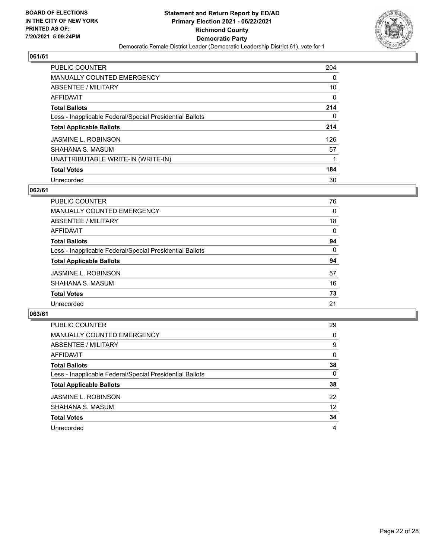

| <b>PUBLIC COUNTER</b>                                    | 204 |
|----------------------------------------------------------|-----|
| <b>MANUALLY COUNTED EMERGENCY</b>                        | 0   |
| ABSENTEE / MILITARY                                      | 10  |
| AFFIDAVIT                                                | 0   |
| <b>Total Ballots</b>                                     | 214 |
| Less - Inapplicable Federal/Special Presidential Ballots | 0   |
| <b>Total Applicable Ballots</b>                          | 214 |
| <b>JASMINE L. ROBINSON</b>                               | 126 |
| SHAHANA S. MASUM                                         | 57  |
| UNATTRIBUTABLE WRITE-IN (WRITE-IN)                       |     |
| <b>Total Votes</b>                                       | 184 |
| Unrecorded                                               | 30  |

#### **062/61**

| <b>PUBLIC COUNTER</b>                                    | 76       |
|----------------------------------------------------------|----------|
| <b>MANUALLY COUNTED EMERGENCY</b>                        | $\Omega$ |
| ABSENTEE / MILITARY                                      | 18       |
| AFFIDAVIT                                                | 0        |
| <b>Total Ballots</b>                                     | 94       |
| Less - Inapplicable Federal/Special Presidential Ballots | $\Omega$ |
| <b>Total Applicable Ballots</b>                          | 94       |
| <b>JASMINE L. ROBINSON</b>                               | 57       |
| SHAHANA S. MASUM                                         | 16       |
| <b>Total Votes</b>                                       | 73       |
| Unrecorded                                               | 21       |

| <b>PUBLIC COUNTER</b>                                    | 29       |
|----------------------------------------------------------|----------|
| MANUALLY COUNTED EMERGENCY                               | $\Omega$ |
| ABSENTEE / MILITARY                                      | 9        |
| AFFIDAVIT                                                | $\Omega$ |
| <b>Total Ballots</b>                                     | 38       |
| Less - Inapplicable Federal/Special Presidential Ballots | $\Omega$ |
| <b>Total Applicable Ballots</b>                          | 38       |
| <b>JASMINE L. ROBINSON</b>                               | 22       |
| SHAHANA S. MASUM                                         | 12       |
| <b>Total Votes</b>                                       | 34       |
| Unrecorded                                               | 4        |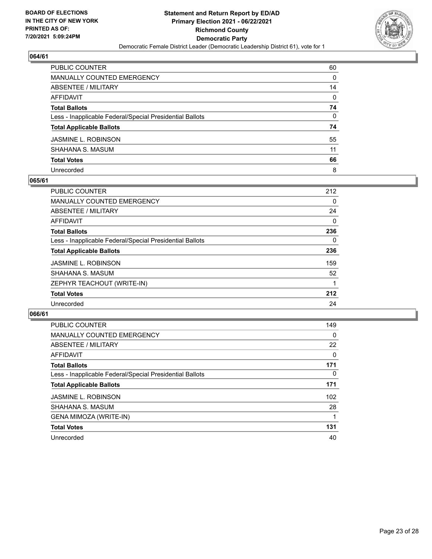

| PUBLIC COUNTER                                           | 60 |
|----------------------------------------------------------|----|
| <b>MANUALLY COUNTED EMERGENCY</b>                        | 0  |
| ABSENTEE / MILITARY                                      | 14 |
| AFFIDAVIT                                                | 0  |
| <b>Total Ballots</b>                                     | 74 |
| Less - Inapplicable Federal/Special Presidential Ballots | 0  |
| <b>Total Applicable Ballots</b>                          | 74 |
| JASMINE L. ROBINSON                                      | 55 |
| SHAHANA S. MASUM                                         | 11 |
| <b>Total Votes</b>                                       | 66 |
| Unrecorded                                               | 8  |

#### **065/61**

| <b>PUBLIC COUNTER</b>                                    | 212      |
|----------------------------------------------------------|----------|
| <b>MANUALLY COUNTED EMERGENCY</b>                        | $\Omega$ |
| ABSENTEE / MILITARY                                      | 24       |
| AFFIDAVIT                                                | 0        |
| <b>Total Ballots</b>                                     | 236      |
| Less - Inapplicable Federal/Special Presidential Ballots | $\Omega$ |
| <b>Total Applicable Ballots</b>                          | 236      |
| <b>JASMINE L. ROBINSON</b>                               | 159      |
| SHAHANA S. MASUM                                         | 52       |
| ZEPHYR TEACHOUT (WRITE-IN)                               |          |
| <b>Total Votes</b>                                       | 212      |
| Unrecorded                                               | 24       |

| PUBLIC COUNTER                                           | 149      |
|----------------------------------------------------------|----------|
| <b>MANUALLY COUNTED EMERGENCY</b>                        | 0        |
| ABSENTEE / MILITARY                                      | 22       |
| <b>AFFIDAVIT</b>                                         | $\Omega$ |
| <b>Total Ballots</b>                                     | 171      |
| Less - Inapplicable Federal/Special Presidential Ballots | $\Omega$ |
| <b>Total Applicable Ballots</b>                          | 171      |
| <b>JASMINE L. ROBINSON</b>                               | 102      |
| SHAHANA S. MASUM                                         | 28       |
| GENA MIMOZA (WRITE-IN)                                   |          |
| <b>Total Votes</b>                                       | 131      |
| Unrecorded                                               | 40       |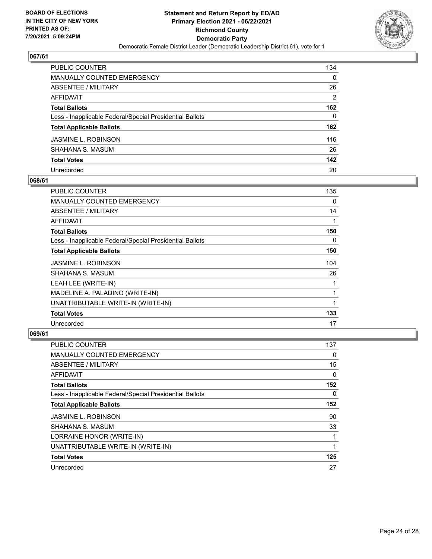

| PUBLIC COUNTER                                           | 134           |
|----------------------------------------------------------|---------------|
| MANUALLY COUNTED EMERGENCY                               | 0             |
| <b>ABSENTEE / MILITARY</b>                               | 26            |
| <b>AFFIDAVIT</b>                                         | $\mathcal{P}$ |
| <b>Total Ballots</b>                                     | 162           |
| Less - Inapplicable Federal/Special Presidential Ballots | 0             |
| <b>Total Applicable Ballots</b>                          | 162           |
| JASMINE L. ROBINSON                                      | 116           |
| SHAHANA S. MASUM                                         | 26            |
| <b>Total Votes</b>                                       | 142           |
| Unrecorded                                               | 20            |

## **068/61**

| PUBLIC COUNTER                                           | 135 |
|----------------------------------------------------------|-----|
| <b>MANUALLY COUNTED EMERGENCY</b>                        | 0   |
| ABSENTEE / MILITARY                                      | 14  |
| AFFIDAVIT                                                |     |
| <b>Total Ballots</b>                                     | 150 |
| Less - Inapplicable Federal/Special Presidential Ballots | 0   |
| <b>Total Applicable Ballots</b>                          | 150 |
| <b>JASMINE L. ROBINSON</b>                               | 104 |
| SHAHANA S. MASUM                                         | 26  |
| LEAH LEE (WRITE-IN)                                      |     |
| MADELINE A. PALADINO (WRITE-IN)                          | 1   |
| UNATTRIBUTABLE WRITE-IN (WRITE-IN)                       |     |
| <b>Total Votes</b>                                       | 133 |
| Unrecorded                                               | 17  |

| PUBLIC COUNTER                                           | 137      |
|----------------------------------------------------------|----------|
| <b>MANUALLY COUNTED EMERGENCY</b>                        | 0        |
| ABSENTEE / MILITARY                                      | 15       |
| AFFIDAVIT                                                | 0        |
| <b>Total Ballots</b>                                     | 152      |
| Less - Inapplicable Federal/Special Presidential Ballots | $\Omega$ |
| <b>Total Applicable Ballots</b>                          | 152      |
| <b>JASMINE L. ROBINSON</b>                               | 90       |
| SHAHANA S. MASUM                                         | 33       |
| LORRAINE HONOR (WRITE-IN)                                | 1        |
| UNATTRIBUTABLE WRITE-IN (WRITE-IN)                       |          |
| <b>Total Votes</b>                                       | 125      |
| Unrecorded                                               | 27       |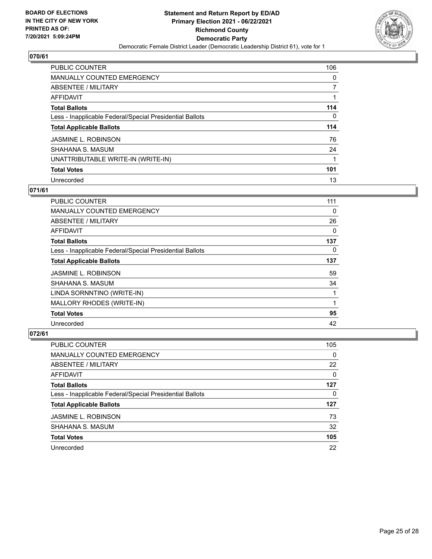

| PUBLIC COUNTER                                           | 106      |
|----------------------------------------------------------|----------|
| <b>MANUALLY COUNTED EMERGENCY</b>                        | 0        |
| ABSENTEE / MILITARY                                      | 7        |
| AFFIDAVIT                                                |          |
| <b>Total Ballots</b>                                     | 114      |
| Less - Inapplicable Federal/Special Presidential Ballots | $\Omega$ |
| <b>Total Applicable Ballots</b>                          | 114      |
| <b>JASMINE L. ROBINSON</b>                               | 76       |
| SHAHANA S. MASUM                                         | 24       |
| UNATTRIBUTABLE WRITE-IN (WRITE-IN)                       |          |
| <b>Total Votes</b>                                       | 101      |
| Unrecorded                                               | 13       |

#### **071/61**

| <b>PUBLIC COUNTER</b>                                    | 111 |
|----------------------------------------------------------|-----|
| MANUALLY COUNTED EMERGENCY                               | 0   |
| ABSENTEE / MILITARY                                      | 26  |
| AFFIDAVIT                                                | 0   |
| <b>Total Ballots</b>                                     | 137 |
| Less - Inapplicable Federal/Special Presidential Ballots | 0   |
| <b>Total Applicable Ballots</b>                          | 137 |
| <b>JASMINE L. ROBINSON</b>                               | 59  |
| SHAHANA S. MASUM                                         | 34  |
| LINDA SORNNTINO (WRITE-IN)                               |     |
| MALLORY RHODES (WRITE-IN)                                | 1   |
| <b>Total Votes</b>                                       | 95  |
| Unrecorded                                               | 42  |

| PUBLIC COUNTER                                           | 105      |
|----------------------------------------------------------|----------|
| MANUALLY COUNTED EMERGENCY                               | $\Omega$ |
| ABSENTEE / MILITARY                                      | 22       |
| AFFIDAVIT                                                | $\Omega$ |
| <b>Total Ballots</b>                                     | 127      |
| Less - Inapplicable Federal/Special Presidential Ballots | 0        |
| <b>Total Applicable Ballots</b>                          | 127      |
| <b>JASMINE L. ROBINSON</b>                               | 73       |
| SHAHANA S. MASUM                                         | 32       |
| <b>Total Votes</b>                                       | 105      |
| Unrecorded                                               | 22       |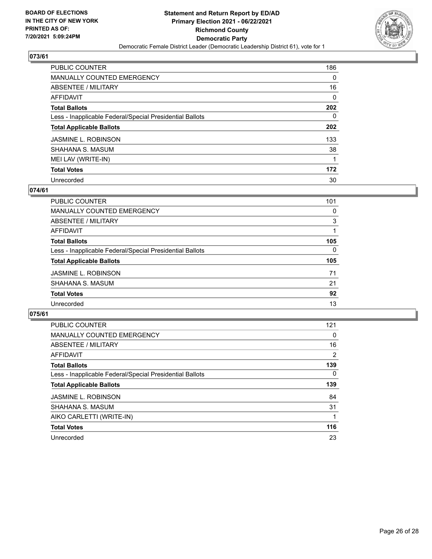

| <b>PUBLIC COUNTER</b>                                    | 186 |
|----------------------------------------------------------|-----|
| <b>MANUALLY COUNTED EMERGENCY</b>                        | 0   |
| ABSENTEE / MILITARY                                      | 16  |
| AFFIDAVIT                                                | 0   |
| <b>Total Ballots</b>                                     | 202 |
| Less - Inapplicable Federal/Special Presidential Ballots | 0   |
| <b>Total Applicable Ballots</b>                          | 202 |
| <b>JASMINE L. ROBINSON</b>                               | 133 |
| SHAHANA S. MASUM                                         | 38  |
| MEI LAV (WRITE-IN)                                       |     |
| <b>Total Votes</b>                                       | 172 |
| Unrecorded                                               | 30  |

#### **074/61**

| <b>PUBLIC COUNTER</b>                                    | 101      |
|----------------------------------------------------------|----------|
| <b>MANUALLY COUNTED EMERGENCY</b>                        | 0        |
| ABSENTEE / MILITARY                                      | 3        |
| <b>AFFIDAVIT</b>                                         |          |
| <b>Total Ballots</b>                                     | 105      |
| Less - Inapplicable Federal/Special Presidential Ballots | $\Omega$ |
| <b>Total Applicable Ballots</b>                          | 105      |
| <b>JASMINE L. ROBINSON</b>                               | 71       |
| SHAHANA S. MASUM                                         | 21       |
| <b>Total Votes</b>                                       | 92       |
| Unrecorded                                               | 13       |

| <b>PUBLIC COUNTER</b>                                    | 121      |
|----------------------------------------------------------|----------|
| MANUALLY COUNTED EMERGENCY                               | $\Omega$ |
| ABSENTEE / MILITARY                                      | 16       |
| AFFIDAVIT                                                | 2        |
| <b>Total Ballots</b>                                     | 139      |
| Less - Inapplicable Federal/Special Presidential Ballots | $\Omega$ |
| <b>Total Applicable Ballots</b>                          | 139      |
| <b>JASMINE L. ROBINSON</b>                               | 84       |
| SHAHANA S. MASUM                                         | 31       |
| AIKO CARLETTI (WRITE-IN)                                 |          |
| <b>Total Votes</b>                                       | 116      |
| Unrecorded                                               | 23       |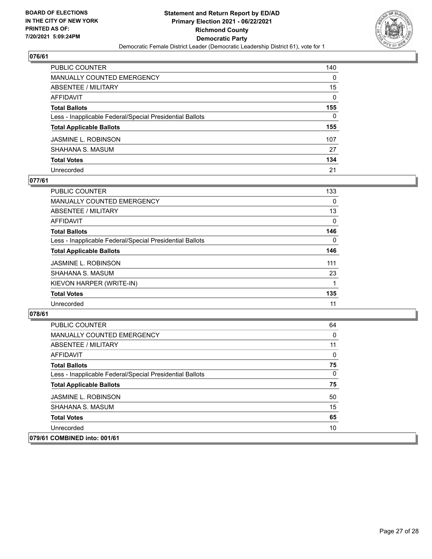

| PUBLIC COUNTER                                           | 140      |
|----------------------------------------------------------|----------|
| <b>MANUALLY COUNTED EMERGENCY</b>                        | 0        |
| <b>ABSENTEE / MILITARY</b>                               | 15       |
| <b>AFFIDAVIT</b>                                         | $\Omega$ |
| <b>Total Ballots</b>                                     | 155      |
| Less - Inapplicable Federal/Special Presidential Ballots | 0        |
| <b>Total Applicable Ballots</b>                          | 155      |
| <b>JASMINE L. ROBINSON</b>                               | 107      |
| SHAHANA S. MASUM                                         | 27       |
| <b>Total Votes</b>                                       | 134      |
| Unrecorded                                               | 21       |

## **077/61**

| PUBLIC COUNTER                                           | 133      |
|----------------------------------------------------------|----------|
| <b>MANUALLY COUNTED EMERGENCY</b>                        | 0        |
| ABSENTEE / MILITARY                                      | 13       |
| AFFIDAVIT                                                | $\Omega$ |
| <b>Total Ballots</b>                                     | 146      |
| Less - Inapplicable Federal/Special Presidential Ballots | 0        |
| <b>Total Applicable Ballots</b>                          | 146      |
| <b>JASMINE L. ROBINSON</b>                               | 111      |
| SHAHANA S. MASUM                                         | 23       |
| KIEVON HARPER (WRITE-IN)                                 |          |
| <b>Total Votes</b>                                       | 135      |
| Unrecorded                                               | 11       |

| PUBLIC COUNTER                                           | 64           |
|----------------------------------------------------------|--------------|
| <b>MANUALLY COUNTED EMERGENCY</b>                        | 0            |
| ABSENTEE / MILITARY                                      | 11           |
| AFFIDAVIT                                                | $\Omega$     |
| <b>Total Ballots</b>                                     | 75           |
| Less - Inapplicable Federal/Special Presidential Ballots | $\mathbf{0}$ |
| <b>Total Applicable Ballots</b>                          | 75           |
| <b>JASMINE L. ROBINSON</b>                               | 50           |
| SHAHANA S. MASUM                                         | 15           |
| <b>Total Votes</b>                                       | 65           |
| Unrecorded                                               | 10           |
| 079/61 COMBINED into: 001/61                             |              |